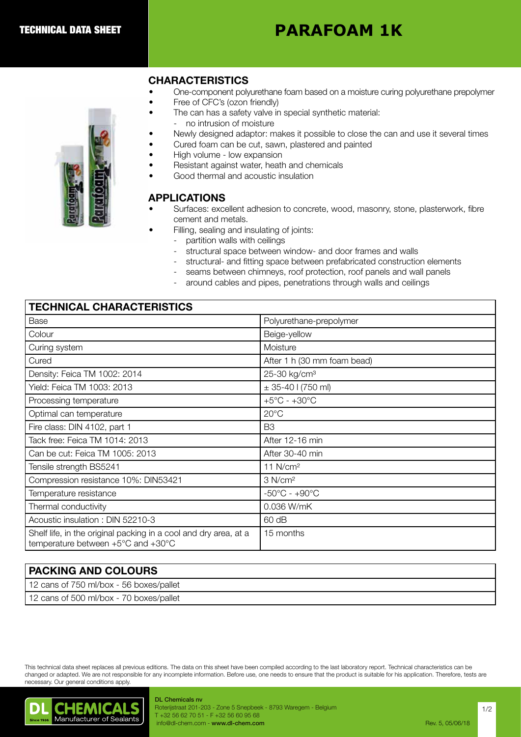# **PARAFOAM 1K**

# CHARACTERISTICS

- One-component polyurethane foam based on a moisture curing polyurethane prepolymer
- Free of CFC's (ozon friendly)
- The can has a safety valve in special synthetic material:
	- no intrusion of moisture
- Newly designed adaptor: makes it possible to close the can and use it several times
- Cured foam can be cut, sawn, plastered and painted
- High volume low expansion
- Resistant against water, heath and chemicals
- Good thermal and acoustic insulation

# APPLICATIONS

- Surfaces: excellent adhesion to concrete, wood, masonry, stone, plasterwork, fibre cement and metals.
	- Filling, sealing and insulating of joints:
		- partition walls with ceilings
			- structural space between window- and door frames and walls
			- structural- and fitting space between prefabricated construction elements
			- seams between chimneys, roof protection, roof panels and wall panels
			- around cables and pipes, penetrations through walls and ceilings

# TECHNICAL CHARACTERISTICS

| Base                                                                                                   | Polyurethane-prepolymer           |
|--------------------------------------------------------------------------------------------------------|-----------------------------------|
| Colour                                                                                                 | Beige-yellow                      |
| Curing system                                                                                          | Moisture                          |
| Cured                                                                                                  | After 1 h (30 mm foam bead)       |
| Density: Feica TM 1002: 2014                                                                           | 25-30 kg/cm <sup>3</sup>          |
| Yield: Feica TM 1003: 2013                                                                             | $\pm$ 35-40 l (750 ml)            |
| Processing temperature                                                                                 | $+5^{\circ}$ C - $+30^{\circ}$ C  |
| Optimal can temperature                                                                                | $20^{\circ}$ C                    |
| Fire class: DIN 4102, part 1                                                                           | B <sub>3</sub>                    |
| Tack free: Feica TM 1014: 2013                                                                         | After 12-16 min                   |
| Can be cut: Feica TM 1005: 2013                                                                        | After 30-40 min                   |
| Tensile strength BS5241                                                                                | 11 $N/cm2$                        |
| Compression resistance 10%: DIN53421                                                                   | 3 N/cm <sup>2</sup>               |
| Temperature resistance                                                                                 | $-50^{\circ}$ C - $+90^{\circ}$ C |
| Thermal conductivity                                                                                   | 0.036 W/mK                        |
| Acoustic insulation: DIN 52210-3                                                                       | $60$ dB                           |
| Shelf life, in the original packing in a cool and dry area, at a<br>temperature between +5°C and +30°C | 15 months                         |

| <b>PACKING AND COLOURS</b>              |
|-----------------------------------------|
| 12 cans of 750 ml/box - 56 boxes/pallet |
| 12 cans of 500 ml/box - 70 boxes/pallet |

This technical data sheet replaces all previous editions. The data on this sheet have been compiled according to the last laboratory report. Technical characteristics can be changed or adapted. We are not responsible for any incomplete information. Before use, one needs to ensure that the product is suitable for his application. Therefore, tests are necessary. Our general conditions apply.



#### DL Chemicals nv Roterijstraat 201-203 - Zone 5 Snepbeek - 8793 Waregem - Belgium T +32 56 62 70 51 - F +32 56 60 95 68 info@dl-chem.com - www.dl-chem.com **Rev. 5, 05/06/18** and Rev. 5, 05/06/18